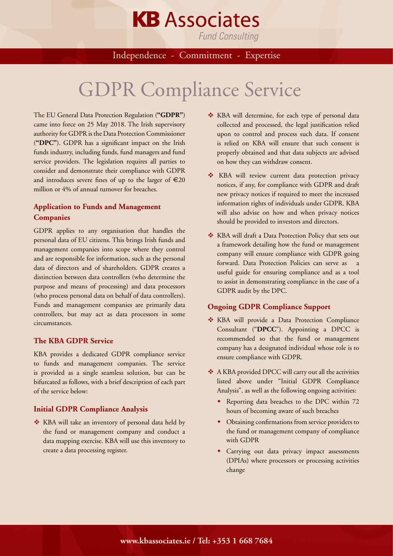# **KB** Associates

**Fund Consulting** 

Independence - Commitment - Expertise

# GDPR Compliance Service

The EU General Data Protection Regulation (**"GDPR"**) came into force on 25 May 2018. The Irish supervisory authority for GDPR is the Data Protection Commissioner (**"DPC"**). GDPR has a significant impact on the Irish funds industry, including funds, fund managers and fund service providers. The legislation requires all parties to consider and demonstrate their compliance with GDPR and introduces severe fines of up to the larger of  $\epsilon$ 20 million or 4% of annual turnover for breaches.

## **Application to Funds and Management Companies**

GDPR applies to any organisation that handles the personal data of EU citizens. This brings Irish funds and management companies into scope where they control and are responsible for information, such as the personal data of directors and of shareholders. GDPR creates a distinction between data controllers (who determine the purpose and means of processing) and data processors (who process personal data on behalf of data controllers). Funds and management companies are primarily data controllers, but may act as data processors in some circumstances.

#### **The KBA GDPR Service**

KBA provides a dedicated GDPR compliance service to funds and management companies. The service is provided as a single seamless solution, but can be bifurcated as follows, with a brief description of each part of the service below:

### **Initial GDPR Compliance Analysis**

\* KBA will take an inventory of personal data held by the fund or management company and conduct a data mapping exercise. KBA will use this inventory to create a data processing register.

- \* KBA will determine, for each type of personal data collected and processed, the legal justification relied upon to control and process such data. If consent is relied on KBA will ensure that such consent is properly obtained and that data subjects are advised on how they can withdraw consent.
- \* KBA will review current data protection privacy notices, if any, for compliance with GDPR and draft new privacy notices if required to meet the increased information rights of individuals under GDPR. KBA will also advise on how and when privacy notices should be provided to investors and directors.
- \* KBA will draft a Data Protection Policy that sets out a framework detailing how the fund or management company will ensure compliance with GDPR going forward. Data Protection Policies can serve as a useful guide for ensuring compliance and as a tool to assist in demonstrating compliance in the case of a GDPR audit by the DPC.

#### **Ongoing GDPR Compliance Support**

- \* KBA will provide a Data Protection Compliance Consultant ("**DPCC**"). Appointing a DPCC is recommended so that the fund or management company has a designated individual whose role is to ensure compliance with GDPR.
- \* A KBA provided DPCC will carry out all the activities listed above under "Initial GDPR Compliance Analysis", as well as the following ongoing activities:
	- Reporting data breaches to the DPC within 72 hours of becoming aware of such breaches
	- Obtaining confirmations from service providers to the fund or management company of compliance with GDPR
	- Carrying out data privacy impact assessments (DPIAs) where processors or processing activities change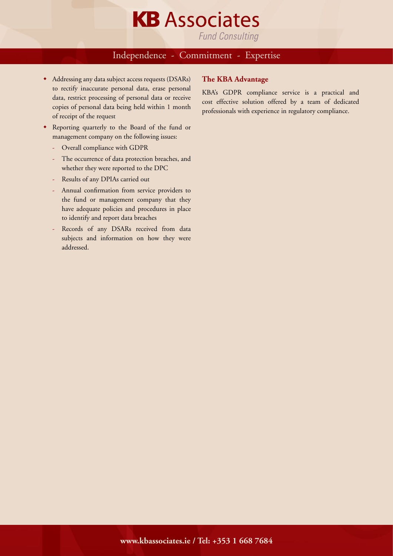

Independence - Commitment - Expertise

- $\bullet$  Addressing any data subject access requests (DSARs) to rectify inaccurate personal data, erase personal data, restrict processing of personal data or receive copies of personal data being held within 1 month of receipt of the request
- Reporting quarterly to the Board of the fund or management company on the following issues:
	- Overall compliance with GDPR
	- The occurrence of data protection breaches, and whether they were reported to the DPC
	- Results of any DPIAs carried out
	- Annual confirmation from service providers to the fund or management company that they have adequate policies and procedures in place to identify and report data breaches
	- Records of any DSARs received from data subjects and information on how they were addressed.

#### **The KBA Advantage**

KBA's GDPR compliance service is a practical and cost effective solution offered by a team of dedicated professionals with experience in regulatory compliance.